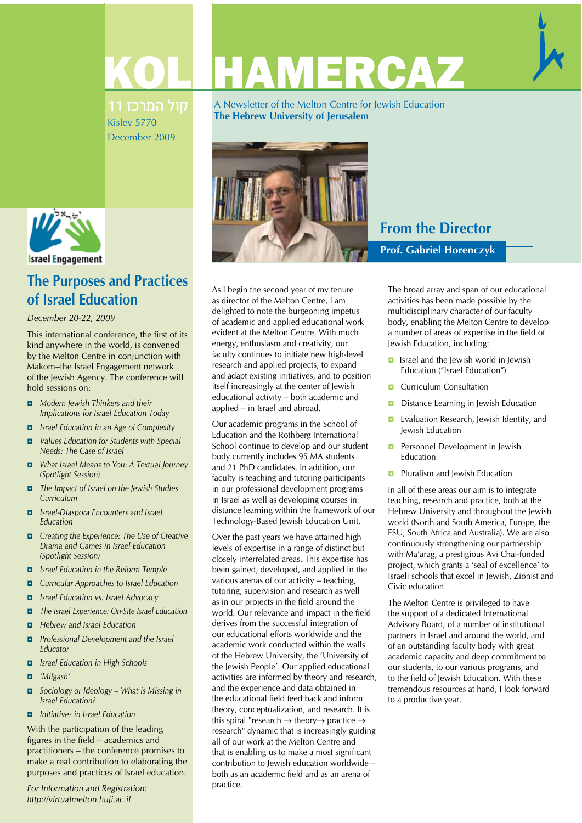

11 המרכז 11 Kislev 5770 December 2009

A Newsletter of the Melton Centre for Jewish Education **The Hebrew University of Jerusalem**



# **From the Director Prof. Gabriel Horenczyk**

The broad array and span of our educational activities has been made possible by the multidisciplinary character of our faculty body, enabling the Melton Centre to develop a number of areas of expertise in the field of Jewish Education, including:

- *ʋ* Israel and the Jewish world in Jewish Education ("Israel Education")
- *D* Curriculum Consultation
- *D* Distance Learning in Jewish Education
- *D* Evaluation Research, Jewish Identity, and Jewish Education
- *D* Personnel Development in Jewish Education
- *D* Pluralism and Jewish Education

In all of these areas our aim is to integrate teaching, research and practice, both at the Hebrew University and throughout the Jewish world (North and South America, Europe, the FSU, South Africa and Australia). We are also continuously strengthening our partnership with Ma'arag, a prestigious Avi Chai-funded project, which grants a 'seal of excellence' to Israeli schools that excel in Jewish, Zionist and Civic education.

The Melton Centre is privileged to have the support of a dedicated International Advisory Board, of a number of institutional partners in Israel and around the world, and of an outstanding faculty body with great academic capacity and deep commitment to our students, to our various programs, and to the field of Jewish Education. With these tremendous resources at hand, I look forward to a productive year.



**The Purposes and Practices of Israel Education** 

### *December 20-22, 2009*

This international conference, the first of its kind anywhere in the world, is convened by the Melton Centre in conjunction with Makom–the Israel Engagement network of the Jewish Agency. The conference will hold sessions on:

- *ʋ Modern Jewish Thinkers and their Implications for Israel Education Today*
- *ʋ Israel Education in an Age of Complexity*
- *ʋ Values Education for Students with Special Needs: The Case of Israel*
- *ʋ What Israel Means to You: A Textual Journey (Spotlight Session)*
- *ʋ The Impact of Israel on the Jewish Studies Curriculum*
- *ʋ Israel-Diaspora Encounters and Israel Education*
- *ʋ Creating the Experience: The Use of Creative Drama and Games in Israel Education (Spotlight Session)*
- *ʋ Israel Education in the Reform Temple*
- *ʋ Curricular Approaches to Israel Education*
- *ʋ Israel Education vs. Israel Advocacy*
- *ʋ The Israel Experience: On-Site Israel Education*
- *ʋ Hebrew and Israel Education*
- *ʋ Professional Development and the Israel Educator*
- *ʋ Israel Education in High Schools*
- *ʋ 'Mifgash'*
- *ʋ Sociology or Ideology What is Missing in Israel Education?*
- *ʋ Initiatives in Israel Education*

With the participation of the leading figures in the field – academics and practitioners – the conference promises to make a real contribution to elaborating the purposes and practices of Israel education.

*For Information and Registration: http://virtualmelton.huji.ac.il* 

as director of the Melton Centre, I am delighted to note the burgeoning impetus of academic and applied educational work evident at the Melton Centre. With much energy, enthusiasm and creativity, our faculty continues to initiate new high-level research and applied projects, to expand and adapt existing initiatives, and to position itself increasingly at the center of Jewish educational activity – both academic and applied – in Israel and abroad.

As I begin the second year of my tenure

Our academic programs in the School of Education and the Rothberg International School continue to develop and our student body currently includes 95 MA students and 21 PhD candidates. In addition, our faculty is teaching and tutoring participants in our professional development programs in Israel as well as developing courses in distance learning within the framework of our Technology-Based Jewish Education Unit.

Over the past years we have attained high levels of expertise in a range of distinct but closely interrelated areas. This expertise has been gained, developed, and applied in the various arenas of our activity – teaching, tutoring, supervision and research as well as in our projects in the field around the world. Our relevance and impact in the field derives from the successful integration of our educational efforts worldwide and the academic work conducted within the walls of the Hebrew University, the 'University of the Jewish People'. Our applied educational activities are informed by theory and research, and the experience and data obtained in the educational field feed back and inform theory, conceptualization, and research. It is this spiral "research  $\rightarrow$  theory $\rightarrow$  practice  $\rightarrow$ research" dynamic that is increasingly guiding all of our work at the Melton Centre and that is enabling us to make a most significant contribution to Jewish education worldwide – both as an academic field and as an arena of practice.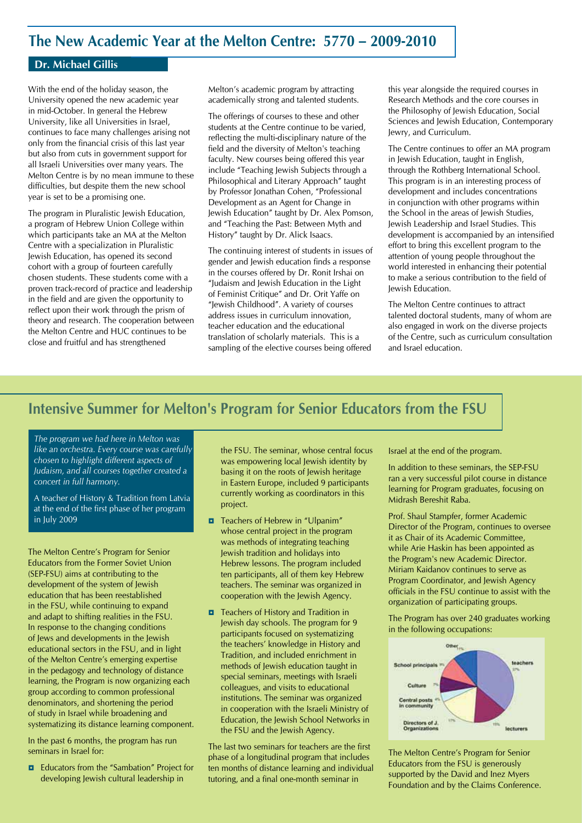## **The New Academic Year at the Melton Centre: 5770 – 2009-2010**

### **Dr. Michael Gillis**

With the end of the holiday season, the University opened the new academic year in mid-October. In general the Hebrew University, like all Universities in Israel, continues to face many challenges arising not only from the financial crisis of this last year but also from cuts in government support for all Israeli Universities over many years. The Melton Centre is by no mean immune to these difficulties, but despite them the new school year is set to be a promising one.

The program in Pluralistic Jewish Education, a program of Hebrew Union College within which participants take an MA at the Melton Centre with a specialization in Pluralistic Jewish Education, has opened its second cohort with a group of fourteen carefully chosen students. These students come with a proven track-record of practice and leadership in the field and are given the opportunity to reflect upon their work through the prism of theory and research. The cooperation between the Melton Centre and HUC continues to be close and fruitful and has strengthened

Melton's academic program by attracting academically strong and talented students.

The offerings of courses to these and other students at the Centre continue to be varied, reflecting the multi-disciplinary nature of the field and the diversity of Melton's teaching faculty. New courses being offered this year include "Teaching Jewish Subjects through a Philosophical and Literary Approach" taught by Professor Jonathan Cohen, "Professional Development as an Agent for Change in Jewish Education" taught by Dr. Alex Pomson, and "Teaching the Past: Between Myth and History" taught by Dr. Alick Isaacs.

The continuing interest of students in issues of gender and Jewish education finds a response in the courses offered by Dr. Ronit Irshai on "Judaism and Jewish Education in the Light of Feminist Critique" and Dr. Orit Yaffe on "Jewish Childhood". A variety of courses address issues in curriculum innovation, teacher education and the educational translation of scholarly materials. This is a sampling of the elective courses being offered this year alongside the required courses in Research Methods and the core courses in the Philosophy of Jewish Education, Social Sciences and Jewish Education, Contemporary Jewry, and Curriculum.

The Centre continues to offer an MA program in Jewish Education, taught in English, through the Rothberg International School. This program is in an interesting process of development and includes concentrations in conjunction with other programs within the School in the areas of Jewish Studies, Jewish Leadership and Israel Studies. This development is accompanied by an intensified effort to bring this excellent program to the attention of young people throughout the world interested in enhancing their potential to make a serious contribution to the field of Jewish Education.

The Melton Centre continues to attract talented doctoral students, many of whom are also engaged in work on the diverse projects of the Centre, such as curriculum consultation and Israel education.

# **Intensive Summer for Melton's Program for Senior Educators from the FSU**

*The program we had here in Melton was like an orchestra. Every course was carefully chosen to highlight different aspects of Judaism, and all courses together created a concert in full harmony.* 

A teacher of History & Tradition from Latvia at the end of the first phase of her program in July 2009

The Melton Centre's Program for Senior Educators from the Former Soviet Union (SEP-FSU) aims at contributing to the development of the system of Jewish education that has been reestablished in the FSU, while continuing to expand and adapt to shifting realities in the FSU. In response to the changing conditions of Jews and developments in the Jewish educational sectors in the FSU, and in light of the Melton Centre's emerging expertise in the pedagogy and technology of distance learning, the Program is now organizing each group according to common professional denominators, and shortening the period of study in Israel while broadening and systematizing its distance learning component.

In the past 6 months, the program has run seminars in Israel for:

*ʋ* Educators from the "Sambation" Project for developing Jewish cultural leadership in

the FSU. The seminar, whose central focus was empowering local lewish identity by basing it on the roots of Jewish heritage in Eastern Europe, included 9 participants currently working as coordinators in this project.

- *D* Teachers of Hebrew in "Ulpanim" whose central project in the program was methods of integrating teaching Jewish tradition and holidays into Hebrew lessons. The program included ten participants, all of them key Hebrew teachers. The seminar was organized in cooperation with the Jewish Agency.
- *n* Teachers of History and Tradition in Jewish day schools. The program for 9 participants focused on systematizing the teachers' knowledge in History and Tradition, and included enrichment in methods of Jewish education taught in special seminars, meetings with Israeli colleagues, and visits to educational institutions. The seminar was organized in cooperation with the Israeli Ministry of Education, the Jewish School Networks in the FSU and the Jewish Agency.

The last two seminars for teachers are the first phase of a longitudinal program that includes ten months of distance learning and individual tutoring, and a final one-month seminar in

Israel at the end of the program.

In addition to these seminars, the SEP-FSU ran a very successful pilot course in distance learning for Program graduates, focusing on Midrash Bereshit Raba.

Prof. Shaul Stampfer, former Academic Director of the Program, continues to oversee it as Chair of its Academic Committee, while Arie Haskin has been appointed as the Program's new Academic Director. Miriam Kaidanov continues to serve as Program Coordinator, and Jewish Agency officials in the FSU continue to assist with the organization of participating groups.

The Program has over 240 graduates working in the following occupations:



The Melton Centre's Program for Senior Educators from the FSU is generously supported by the David and Inez Myers Foundation and by the Claims Conference.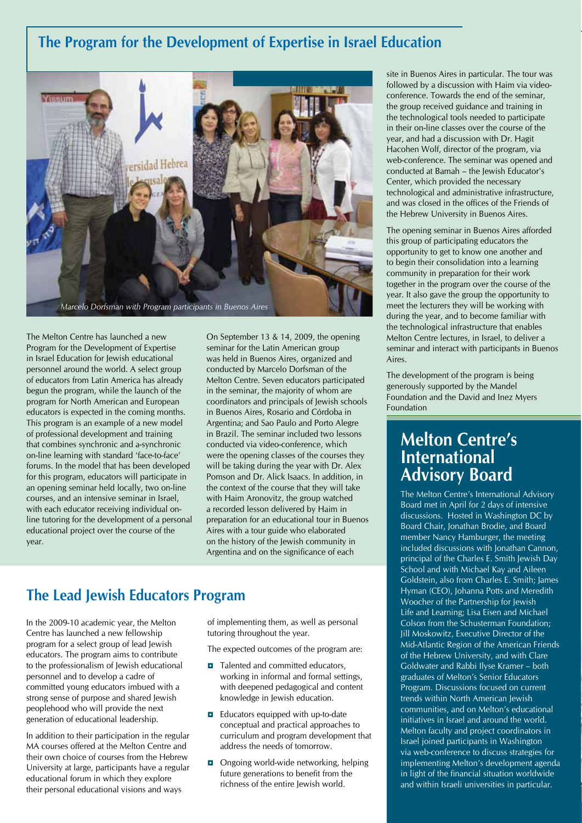## **The Program for the Development of Expertise in Israel Education**



The Melton Centre has launched a new Program for the Development of Expertise in Israel Education for Jewish educational personnel around the world. A select group of educators from Latin America has already begun the program, while the launch of the program for North American and European educators is expected in the coming months. This program is an example of a new model of professional development and training that combines synchronic and a-synchronic on-line learning with standard 'face-to-face' forums. In the model that has been developed for this program, educators will participate in an opening seminar held locally, two on-line courses, and an intensive seminar in Israel, with each educator receiving individual online tutoring for the development of a personal educational project over the course of the year.

On September 13 & 14, 2009, the opening seminar for the Latin American group was held in Buenos Aires, organized and conducted by Marcelo Dorfsman of the Melton Centre. Seven educators participated in the seminar, the majority of whom are coordinators and principals of Jewish schools in Buenos Aires, Rosario and Córdoba in Argentina; and Sao Paulo and Porto Alegre in Brazil. The seminar included two lessons conducted via video-conference, which were the opening classes of the courses they will be taking during the year with Dr. Alex Pomson and Dr. Alick Isaacs. In addition, in the context of the course that they will take with Haim Aronovitz, the group watched a recorded lesson delivered by Haim in preparation for an educational tour in Buenos Aires with a tour guide who elaborated on the history of the Jewish community in Argentina and on the significance of each

## **The Lead Jewish Educators Program**

In the 2009-10 academic year, the Melton Centre has launched a new fellowship program for a select group of lead Jewish educators. The program aims to contribute to the professionalism of Jewish educational personnel and to develop a cadre of committed young educators imbued with a strong sense of purpose and shared Jewish peoplehood who will provide the next generation of educational leadership.

In addition to their participation in the regular MA courses offered at the Melton Centre and their own choice of courses from the Hebrew University at large, participants have a regular educational forum in which they explore their personal educational visions and ways

of implementing them, as well as personal tutoring throughout the year.

The expected outcomes of the program are:

- *n* Talented and committed educators, working in informal and formal settings, with deepened pedagogical and content knowledge in Jewish education.
- *b* Educators equipped with up-to-date conceptual and practical approaches to curriculum and program development that address the needs of tomorrow.
- *D* Ongoing world-wide networking, helping future generations to benefit from the richness of the entire Jewish world.

site in Buenos Aires in particular. The tour was followed by a discussion with Haim via videoconference. Towards the end of the seminar, the group received guidance and training in the technological tools needed to participate in their on-line classes over the course of the year, and had a discussion with Dr. Hagit Hacohen Wolf, director of the program, via web-conference. The seminar was opened and conducted at Bamah – the Jewish Educator's Center, which provided the necessary technological and administrative infrastructure, and was closed in the offices of the Friends of the Hebrew University in Buenos Aires.

The opening seminar in Buenos Aires afforded this group of participating educators the opportunity to get to know one another and to begin their consolidation into a learning community in preparation for their work together in the program over the course of the year. It also gave the group the opportunity to meet the lecturers they will be working with during the year, and to become familiar with the technological infrastructure that enables Melton Centre lectures, in Israel, to deliver a seminar and interact with participants in Buenos Aires.

The development of the program is being generously supported by the Mandel Foundation and the David and Inez Myers Foundation

## **Melton Centre's International Advisory Board**

The Melton Centre's International Advisory Board met in April for 2 days of intensive discussions. Hosted in Washington DC by Board Chair, Jonathan Brodie, and Board member Nancy Hamburger, the meeting included discussions with Jonathan Cannon, principal of the Charles E. Smith Jewish Day School and with Michael Kay and Aileen Goldstein, also from Charles E. Smith; James Hyman (CEO), Johanna Potts and Meredith Woocher of the Partnership for Jewish Life and Learning; Lisa Eisen and Michael Colson from the Schusterman Foundation; Jill Moskowitz, Executive Director of the Mid-Atlantic Region of the American Friends of the Hebrew University, and with Clare Goldwater and Rabbi Ilyse Kramer – both graduates of Melton's Senior Educators Program. Discussions focused on current trends within North American Jewish communities, and on Melton's educational initiatives in Israel and around the world. Melton faculty and project coordinators in Israel joined participants in Washington via web-conference to discuss strategies for implementing Melton's development agenda in light of the financial situation worldwide and within Israeli universities in particular.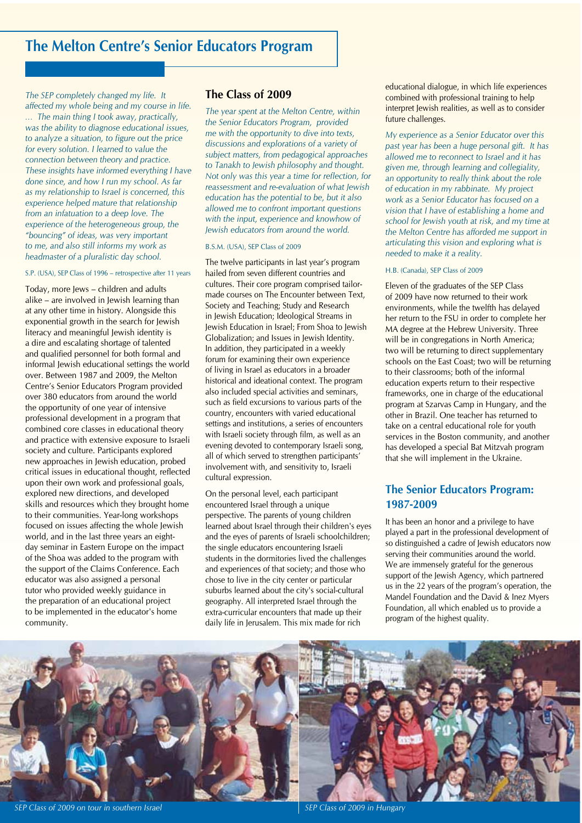*The SEP completely changed my life. It affected my whole being and my course in life. … The main thing I took away, practically, was the ability to diagnose educational issues, to analyze a situation, to figure out the price for every solution. I learned to value the connection between theory and practice. These insights have informed everything I have done since, and how I run my school. As far as my relationship to Israel is concerned, this experience helped mature that relationship from an infatuation to a deep love. The experience of the heterogeneous group, the "bouncing" of ideas, was very important to me, and also still informs my work as headmaster of a pluralistic day school.* 

#### S.P. (USA), SEP Class of 1996 – retrospective after 11 years

Today, more Jews – children and adults alike – are involved in Jewish learning than at any other time in history. Alongside this exponential growth in the search for lewish literacy and meaningful Jewish identity is a dire and escalating shortage of talented and qualified personnel for both formal and informal lewish educational settings the world over. Between 1987 and 2009, the Melton Centre's Senior Educators Program provided over 380 educators from around the world the opportunity of one year of intensive professional development in a program that combined core classes in educational theory and practice with extensive exposure to Israeli society and culture. Participants explored new approaches in Jewish education, probed critical issues in educational thought, reflected upon their own work and professional goals, explored new directions, and developed skills and resources which they brought home to their communities. Year-long workshops focused on issues affecting the whole Jewish world, and in the last three years an eightday seminar in Eastern Europe on the impact of the Shoa was added to the program with the support of the Claims Conference. Each educator was also assigned a personal tutor who provided weekly guidance in the preparation of an educational project to be implemented in the educator's home community.

### **The Class of 2009**

*The year spent at the Melton Centre, within the Senior Educators Program, provided me with the opportunity to dive into texts, discussions and explorations of a variety of subject matters, from pedagogical approaches to Tanakh to Jewish philosophy and thought. Not only was this year a time for reflection, for reassessment and re-evaluation of what Jewish education has the potential to be, but it also allowed me to confront important questions with the input, experience and knowhow of Jewish educators from around the world.* 

#### B.S.M. (USA), SEP Class of 2009

The twelve participants in last year's program hailed from seven different countries and cultures. Their core program comprised tailormade courses on The Encounter between Text, Society and Teaching; Study and Research in Jewish Education; Ideological Streams in Jewish Education in Israel; From Shoa to Jewish Globalization; and Issues in Jewish Identity. In addition, they participated in a weekly forum for examining their own experience of living in Israel as educators in a broader historical and ideational context. The program also included special activities and seminars, such as field excursions to various parts of the country, encounters with varied educational settings and institutions, a series of encounters with Israeli society through film, as well as an evening devoted to contemporary Israeli song, all of which served to strengthen participants' involvement with, and sensitivity to, Israeli cultural expression.

On the personal level, each participant encountered Israel through a unique perspective. The parents of young children learned about Israel through their children's eyes and the eyes of parents of Israeli schoolchildren; the single educators encountering Israeli students in the dormitories lived the challenges and experiences of that society; and those who chose to live in the city center or particular suburbs learned about the city's social-cultural geography. All interpreted Israel through the extra-curricular encounters that made up their daily life in Jerusalem. This mix made for rich

educational dialogue, in which life experiences combined with professional training to help interpret Jewish realities, as well as to consider future challenges.

*My experience as a Senior Educator over this past year has been a huge personal gift. It has allowed me to reconnect to Israel and it has given me, through learning and collegiality, an opportunity to really think about the role of education in my rabbinate. My project work as a Senior Educator has focused on a vision that I have of establishing a home and school for Jewish youth at risk, and my time at zhe Melton Centre has afforded me support in articulating this vision and exploring what is needed to make it a reality.* 

#### H.B. (Canada), SEP Class of 2009

Eleven of the graduates of the SEP Class of 2009 have now returned to their work environments, while the twelfth has delayed her return to the FSU in order to complete her MA degree at the Hebrew University. Three will be in congregations in North America; two will be returning to direct supplementary schools on the East Coast; two will be returning to their classrooms; both of the informal education experts return to their respective frameworks, one in charge of the educational program at Szarvas Camp in Hungary, and the other in Brazil. One teacher has returned to take on a central educational role for youth services in the Boston community, and another has developed a special Bat Mitzvah program that she will implement in the Ukraine.

## **The Senior Educators Program: 1987-2009**

It has been an honor and a privilege to have played a part in the professional development of so distinguished a cadre of Jewish educators now serving their communities around the world. We are immensely grateful for the generous support of the Jewish Agency, which partnered us in the 22 years of the program's operation, the Mandel Foundation and the David & Inez Myers Foundation, all which enabled us to provide a program of the highest quality.



**SEP Class of 2009 on tour in southern Israel SEP Class of 2009 in Hungary** SEP Class of 2009 in Hungary

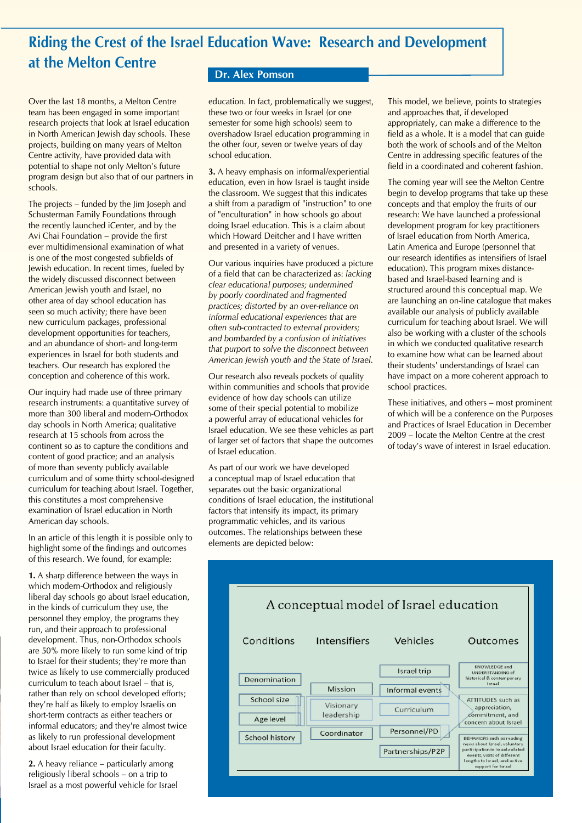# **Riding the Crest of the Israel Education Wave: Research and Development at the Melton Centre**

Over the last 18 months, a Melton Centre team has been engaged in some important research projects that look at Israel education in North American Jewish day schools. These projects, building on many years of Melton Centre activity, have provided data with potential to shape not only Melton's future program design but also that of our partners in schools.

The projects – funded by the Jim Joseph and Schusterman Family Foundations through the recently launched iCenter, and by the Avi Chai Foundation – provide the first ever multidimensional examination of what is one of the most congested subfields of Jewish education. In recent times, fueled by the widely discussed disconnect between American Jewish youth and Israel, no other area of day school education has seen so much activity; there have been new curriculum packages, professional development opportunities for teachers, and an abundance of short- and long-term experiences in Israel for both students and teachers. Our research has explored the conception and coherence of this work.

Our inquiry had made use of three primary research instruments: a quantitative survey of more than 300 liberal and modern-Orthodox day schools in North America; qualitative research at 15 schools from across the continent so as to capture the conditions and content of good practice; and an analysis of more than seventy publicly available curriculum and of some thirty school-designed curriculum for teaching about Israel. Together, this constitutes a most comprehensive examination of Israel education in North American day schools.

In an article of this length it is possible only to highlight some of the findings and outcomes of this research. We found, for example:

**1.** A sharp difference between the ways in which modern-Orthodox and religiously liberal day schools go about Israel education, in the kinds of curriculum they use, the personnel they employ, the programs they run, and their approach to professional development. Thus, non-Orthodox schools are 50% more likely to run some kind of trip to Israel for their students; they're more than twice as likely to use commercially produced curriculum to teach about Israel – that is, rather than rely on school developed efforts; they're half as likely to employ Israelis on short-term contracts as either teachers or informal educators; and they're almost twice as likely to run professional development about Israel education for their faculty.

**2.** A heavy reliance – particularly among religiously liberal schools – on a trip to Israel as a most powerful vehicle for Israel

### **Dr. Alex Pomson**

education. In fact, problematically we suggest, these two or four weeks in Israel (or one semester for some high schools) seem to overshadow Israel education programming in the other four, seven or twelve years of day school education.

**3.** A heavy emphasis on informal/experiential education, even in how Israel is taught inside the classroom. We suggest that this indicates a shift from a paradigm of "instruction" to one of "enculturation" in how schools go about doing Israel education. This is a claim about which Howard Deitcher and I have written and presented in a variety of venues.

Our various inquiries have produced a picture of a field that can be characterized as: *lacking clear educational purposes; undermined by poorly coordinated and fragmented practices; distorted by an over-reliance on informal educational experiences that are often sub-contracted to external providers; and bombarded by a confusion of initiatives that purport to solve the disconnect between American Jewish youth and the State of Israel.*

Our research also reveals pockets of quality within communities and schools that provide evidence of how day schools can utilize some of their special potential to mobilize a powerful array of educational vehicles for Israel education. We see these vehicles as part of larger set of factors that shape the outcomes of Israel education.

As part of our work we have developed a conceptual map of Israel education that separates out the basic organizational conditions of Israel education, the institutional factors that intensify its impact, its primary programmatic vehicles, and its various outcomes. The relationships between these elements are depicted below:

This model, we believe, points to strategies and approaches that, if developed appropriately, can make a difference to the field as a whole. It is a model that can guide both the work of schools and of the Melton Centre in addressing specific features of the field in a coordinated and coherent fashion.

The coming year will see the Melton Centre begin to develop programs that take up these concepts and that employ the fruits of our research: We have launched a professional development program for key practitioners of Israel education from North America, Latin America and Europe (personnel that our research identifies as intensifiers of Israel education). This program mixes distancebased and Israel-based learning and is structured around this conceptual map. We are launching an on-line catalogue that makes available our analysis of publicly available curriculum for teaching about Israel. We will also be working with a cluster of the schools in which we conducted qualitative research to examine how what can be learned about their students' understandings of Israel can have impact on a more coherent approach to school practices.

These initiatives, and others – most prominent of which will be a conference on the Purposes and Practices of Israel Education in December 2009 – locate the Melton Centre at the crest of today's wave of interest in Israel education.

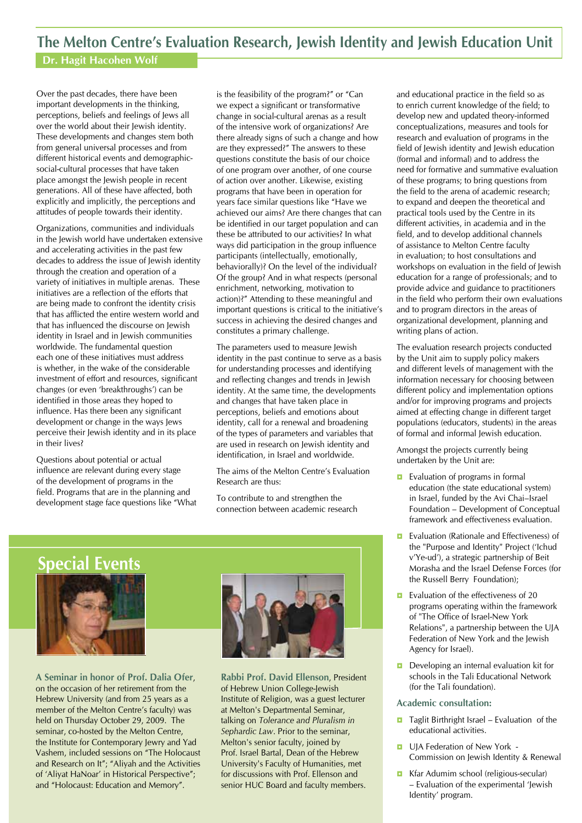## **The Melton Centre's Evaluation Research, Jewish Identity and Jewish Education Unit**

# **Dr. Hagit Hacohen Wolf**

Over the past decades, there have been important developments in the thinking, perceptions, beliefs and feelings of Jews all over the world about their Jewish identity. These developments and changes stem both from general universal processes and from different historical events and demographicsocial-cultural processes that have taken place amongst the Jewish people in recent generations. All of these have affected, both explicitly and implicitly, the perceptions and attitudes of people towards their identity.

Organizations, communities and individuals in the Jewish world have undertaken extensive and accelerating activities in the past few decades to address the issue of Jewish identity through the creation and operation of a variety of initiatives in multiple arenas. These initiatives are a reflection of the efforts that are being made to confront the identity crisis that has afflicted the entire western world and that has influenced the discourse on Jewish identity in Israel and in Jewish communities worldwide. The fundamental question each one of these initiatives must address is whether, in the wake of the considerable investment of effort and resources, significant changes (or even 'breakthroughs') can be identified in those areas they hoped to influence. Has there been any significant development or change in the ways Jews perceive their Jewish identity and in its place in their lives?

Questions about potential or actual influence are relevant during every stage of the development of programs in the field. Programs that are in the planning and development stage face questions like "What

is the feasibility of the program?" or "Can we expect a significant or transformative change in social-cultural arenas as a result of the intensive work of organizations? Are there already signs of such a change and how are they expressed?" The answers to these questions constitute the basis of our choice of one program over another, of one course of action over another. Likewise, existing programs that have been in operation for years face similar questions like "Have we achieved our aims? Are there changes that can be identified in our target population and can these be attributed to our activities? In what ways did participation in the group influence participants (intellectually, emotionally, behaviorally)? On the level of the individual? Of the group? And in what respects (personal enrichment, networking, motivation to action)?" Attending to these meaningful and important questions is critical to the initiative's success in achieving the desired changes and constitutes a primary challenge.

The parameters used to measure Jewish identity in the past continue to serve as a basis for understanding processes and identifying and reflecting changes and trends in Jewish identity. At the same time, the developments and changes that have taken place in perceptions, beliefs and emotions about identity, call for a renewal and broadening of the types of parameters and variables that are used in research on Jewish identity and identification, in Israel and worldwide.

The aims of the Melton Centre's Evaluation Research are thus:

To contribute to and strengthen the connection between academic research



**A Seminar in honor of Prof. Dalia Ofer**, on the occasion of her retirement from the Hebrew University (and from 25 years as a member of the Melton Centre's faculty) was held on Thursday October 29, 2009. The seminar, co-hosted by the Melton Centre, the Institute for Contemporary Jewry and Yad Vashem, included sessions on "The Holocaust and Research on It"; "Aliyah and the Activities of 'Aliyat HaNoar' in Historical Perspective"; and "Holocaust: Education and Memory".



and educational practice in the field so as to enrich current knowledge of the field; to develop new and updated theory-informed conceptualizations, measures and tools for research and evaluation of programs in the field of Jewish identity and Jewish education (formal and informal) and to address the need for formative and summative evaluation of these programs; to bring questions from the field to the arena of academic research; to expand and deepen the theoretical and practical tools used by the Centre in its different activities, in academia and in the field, and to develop additional channels of assistance to Melton Centre faculty in evaluation; to host consultations and workshops on evaluation in the field of Jewish education for a range of professionals; and to provide advice and guidance to practitioners in the field who perform their own evaluations and to program directors in the areas of organizational development, planning and writing plans of action.

The evaluation research projects conducted by the Unit aim to supply policy makers and different levels of management with the information necessary for choosing between different policy and implementation options and/or for improving programs and projects aimed at effecting change in different target populations (educators, students) in the areas of formal and informal Jewish education.

Amongst the projects currently being undertaken by the Unit are:

- *b* Evaluation of programs in formal education (the state educational system) in Israel, funded by the Avi Chai–Israel Foundation – Development of Conceptual framework and effectiveness evaluation.
- **D** Evaluation (Rationale and Effectiveness) of the "Purpose and Identity" Project ('Ichud v'Ye-ud'), a strategic partnership of Beit Morasha and the Israel Defense Forces (for the Russell Berry Foundation);
- **D** Evaluation of the effectiveness of 20 programs operating within the framework of "The Office of Israel-New York Relations", a partnership between the UJA Federation of New York and the Jewish Agency for Israel).
- *D* Developing an internal evaluation kit for schools in the Tali Educational Network (for the Tali foundation).

#### **Academic consultation:**

- **■** Taglit Birthright Israel Evaluation of the educational activities.
- *D* UIA Federation of New York -Commission on Jewish Identity & Renewal
- *b* Kfar Adumim school (religious-secular) – Evaluation of the experimental 'Jewish Identity' program.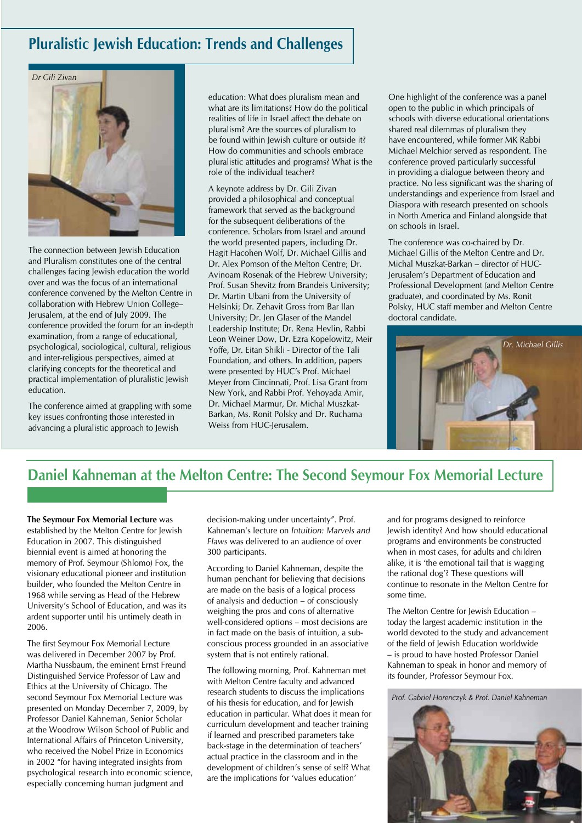## **Pluralistic Jewish Education: Trends and Challenges**



The connection between Jewish Education and Pluralism constitutes one of the central challenges facing Jewish education the world over and was the focus of an international conference convened by the Melton Centre in collaboration with Hebrew Union College– Jerusalem, at the end of July 2009. The conference provided the forum for an in-depth examination, from a range of educational, psychological, sociological, cultural, religious and inter-religious perspectives, aimed at clarifying concepts for the theoretical and practical implementation of pluralistic Jewish education.

The conference aimed at grappling with some key issues confronting those interested in advancing a pluralistic approach to Jewish

education: What does pluralism mean and what are its limitations? How do the political realities of life in Israel affect the debate on pluralism? Are the sources of pluralism to be found within Jewish culture or outside it? How do communities and schools embrace pluralistic attitudes and programs? What is the role of the individual teacher?

A keynote address by Dr. Gili Zivan provided a philosophical and conceptual framework that served as the background for the subsequent deliberations of the conference. Scholars from Israel and around the world presented papers, including Dr. Hagit Hacohen Wolf, Dr. Michael Gillis and Dr. Alex Pomson of the Melton Centre; Dr. Avinoam Rosenak of the Hebrew University; Prof. Susan Shevitz from Brandeis University; Dr. Martin Ubani from the University of Helsinki; Dr. Zehavit Gross from Bar Ilan University; Dr. Jen Glaser of the Mandel Leadership Institute; Dr. Rena Hevlin, Rabbi Leon Weiner Dow, Dr. Ezra Kopelowitz, Meir Yoffe, Dr. Eitan Shikli - Director of the Tali Foundation, and others. In addition, papers were presented by HUC's Prof. Michael Meyer from Cincinnati, Prof. Lisa Grant from New York, and Rabbi Prof. Yehoyada Amir, Dr. Michael Marmur, Dr. Michal Muszkat-Barkan, Ms. Ronit Polsky and Dr. Ruchama Weiss from HUC-lerusalem.

One highlight of the conference was a panel open to the public in which principals of schools with diverse educational orientations shared real dilemmas of pluralism they have encountered, while former MK Rabbi Michael Melchior served as respondent. The conference proved particularly successful in providing a dialogue between theory and practice. No less significant was the sharing of understandings and experience from Israel and Diaspora with research presented on schools in North America and Finland alongside that on schools in Israel.

The conference was co-chaired by Dr. Michael Gillis of the Melton Centre and Dr. Michal Muszkat-Barkan – director of HUC-Jerusalem's Department of Education and Professional Development (and Melton Centre graduate), and coordinated by Ms. Ronit Polsky, HUC staff member and Melton Centre doctoral candidate.



# **Daniel Kahneman at the Melton Centre: The Second Seymour Fox Memorial Lecture**

**The Seymour Fox Memorial Lecture** was established by the Melton Centre for Jewish Education in 2007. This distinguished biennial event is aimed at honoring the memory of Prof. Seymour (Shlomo) Fox, the visionary educational pioneer and institution builder, who founded the Melton Centre in 1968 while serving as Head of the Hebrew University's School of Education, and was its ardent supporter until his untimely death in 2006.

The first Seymour Fox Memorial Lecture was delivered in December 2007 by Prof. Martha Nussbaum, the eminent Ernst Freund Distinguished Service Professor of Law and Ethics at the University of Chicago. The second Seymour Fox Memorial Lecture was presented on Monday December 7, 2009, by Professor Daniel Kahneman, Senior Scholar at the Woodrow Wilson School of Public and International Affairs of Princeton University, who received the Nobel Prize in Economics in 2002 "for having integrated insights from psychological research into economic science, especially concerning human judgment and

decision-making under uncertainty". Prof. Kahneman's lecture on *Intuition: Marvels and Flaws* was delivered to an audience of over 300 participants.

According to Daniel Kahneman, despite the human penchant for believing that decisions are made on the basis of a logical process of analysis and deduction – of consciously weighing the pros and cons of alternative well-considered options – most decisions are in fact made on the basis of intuition, a subconscious process grounded in an associative system that is not entirely rational.

The following morning, Prof. Kahneman met with Melton Centre faculty and advanced research students to discuss the implications of his thesis for education, and for Jewish education in particular. What does it mean for curriculum development and teacher training if learned and prescribed parameters take back-stage in the determination of teachers' actual practice in the classroom and in the development of children's sense of self? What are the implications for 'values education'

and for programs designed to reinforce Jewish identity? And how should educational programs and environments be constructed when in most cases, for adults and children alike, it is 'the emotional tail that is wagging the rational dog'? These questions will continue to resonate in the Melton Centre for some time.

The Melton Centre for Jewish Education – today the largest academic institution in the world devoted to the study and advancement of the field of Jewish Education worldwide – is proud to have hosted Professor Daniel Kahneman to speak in honor and memory of its founder, Professor Seymour Fox.

*Prof. Gabriel Horenczyk & Prof. Daniel Kahneman*